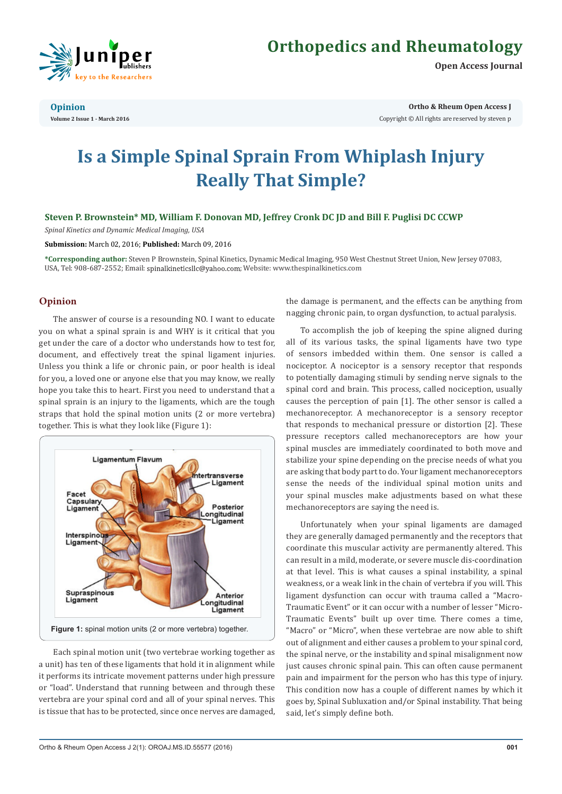

# **Orthopedics and Rheumatology**

**Open Access Journal**

**Opinion Volume 2 Issue 1 - March 2016** **Ortho & Rheum Open Access J**

Copyright © All rights are reserved by steven p

# **Is a Simple Spinal Sprain From Whiplash Injury Really That Simple?**

**Steven P. Brownstein\* MD, William F. Donovan MD, Jeffrey Cronk DC JD and Bill F. Puglisi DC CCWP**

*Spinal Kinetics and Dynamic Medical Imaging, USA*

**Submission:** March 02, 2016; **Published:** March 09, 2016

**\*Corresponding author:** Steven P Brownstein, Spinal Kinetics, Dynamic Medical Imaging, 950 West Chestnut Street Union, New Jersey 07083, USA, Tel: 908-687-2552; Email: spinalkineticsllc@yahoo.com; Website: www.thespinalkinetics.com

# **Opinion**

The answer of course is a resounding NO. I want to educate you on what a spinal sprain is and WHY is it critical that you get under the care of a doctor who understands how to test for, document, and effectively treat the spinal ligament injuries. Unless you think a life or chronic pain, or poor health is ideal for you, a loved one or anyone else that you may know, we really hope you take this to heart. First you need to understand that a spinal sprain is an injury to the ligaments, which are the tough straps that hold the spinal motion units (2 or more vertebra) together. This is what they look like (Figure 1):



Each spinal motion unit (two vertebrae working together as a unit) has ten of these ligaments that hold it in alignment while it performs its intricate movement patterns under high pressure or "load". Understand that running between and through these vertebra are your spinal cord and all of your spinal nerves. This is tissue that has to be protected, since once nerves are damaged, the damage is permanent, and the effects can be anything from nagging chronic pain, to organ dysfunction, to actual paralysis.

To accomplish the job of keeping the spine aligned during all of its various tasks, the spinal ligaments have two type of sensors imbedded within them. One sensor is called a nociceptor. A nociceptor is a sensory receptor that responds to potentially damaging stimuli by sending nerve signals to the spinal cord and brain. This process, called nociception, usually causes the perception of pain [1]. The other sensor is called a mechanoreceptor. A mechanoreceptor is a sensory receptor that responds to mechanical pressure or distortion [2]. These pressure receptors called mechanoreceptors are how your spinal muscles are immediately coordinated to both move and stabilize your spine depending on the precise needs of what you are asking that body part to do. Your ligament mechanoreceptors sense the needs of the individual spinal motion units and your spinal muscles make adjustments based on what these mechanoreceptors are saying the need is.

Unfortunately when your spinal ligaments are damaged they are generally damaged permanently and the receptors that coordinate this muscular activity are permanently altered. This can result in a mild, moderate, or severe muscle dis-coordination at that level. This is what causes a spinal instability, a spinal weakness, or a weak link in the chain of vertebra if you will. This ligament dysfunction can occur with trauma called a "Macro-Traumatic Event" or it can occur with a number of lesser "Micro-Traumatic Events" built up over time. There comes a time, "Macro" or "Micro", when these vertebrae are now able to shift out of alignment and either causes a problem to your spinal cord, the spinal nerve, or the instability and spinal misalignment now just causes chronic spinal pain. This can often cause permanent pain and impairment for the person who has this type of injury. This condition now has a couple of different names by which it goes by, Spinal Subluxation and/or Spinal instability. That being said, let's simply define both.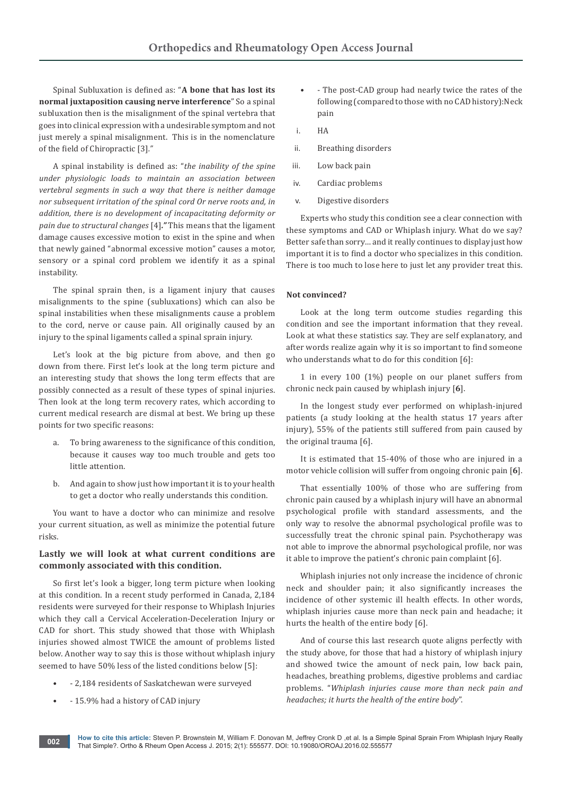Spinal Subluxation is defined as: "**A bone that has lost its normal juxtaposition causing nerve interference**" So a spinal subluxation then is the misalignment of the spinal vertebra that goes into clinical expression with a undesirable symptom and not just merely a spinal misalignment. This is in the nomenclature of the field of Chiropractic [3]*."* 

A spinal instability is defined as: "*the inability of the spine under physiologic loads to maintain an association between vertebral segments in such a way that there is neither damage nor subsequent irritation of the spinal cord Or nerve roots and, in addition, there is no development of incapacitating deformity or pain due to structural changes* [4]*."* This means that the ligament damage causes excessive motion to exist in the spine and when that newly gained "abnormal excessive motion" causes a motor, sensory or a spinal cord problem we identify it as a spinal instability.

The spinal sprain then, is a ligament injury that causes misalignments to the spine (subluxations) which can also be spinal instabilities when these misalignments cause a problem to the cord, nerve or cause pain. All originally caused by an injury to the spinal ligaments called a spinal sprain injury.

Let's look at the big picture from above, and then go down from there. First let's look at the long term picture and an interesting study that shows the long term effects that are possibly connected as a result of these types of spinal injuries. Then look at the long term recovery rates, which according to current medical research are dismal at best. We bring up these points for two specific reasons:

- a. To bring awareness to the significance of this condition, because it causes way too much trouble and gets too little attention.
- b. And again to show just how important it is to your health to get a doctor who really understands this condition.

You want to have a doctor who can minimize and resolve your current situation, as well as minimize the potential future risks.

# **Lastly we will look at what current conditions are commonly associated with this condition.**

So first let's look a bigger, long term picture when looking at this condition. In a recent study performed in Canada, 2,184 residents were surveyed for their response to Whiplash Injuries which they call a Cervical Acceleration-Deceleration Injury or CAD for short. This study showed that those with Whiplash injuries showed almost TWICE the amount of problems listed below. Another way to say this is those without whiplash injury seemed to have 50% less of the listed conditions below [5]:

- - 2,184 residents of Saskatchewan were surveyed
- - 15.9% had a history of CAD injury
- - The post-CAD group had nearly twice the rates of the following (compared to those with no CAD history):Neck pain
- i. HA
- ii. Breathing disorders
- iii. Low back pain
- iv. Cardiac problems
- v. Digestive disorders

Experts who study this condition see a clear connection with these symptoms and CAD or Whiplash injury. What do we say? Better safe than sorry… and it really continues to display just how important it is to find a doctor who specializes in this condition. There is too much to lose here to just let any provider treat this.

#### **Not convinced?**

Look at the long term outcome studies regarding this condition and see the important information that they reveal. Look at what these statistics say. They are self explanatory, and after words realize again why it is so important to find someone who understands what to do for this condition [6]:

1 in every 100 (1%) people on our planet suffers from chronic neck pain caused by whiplash injury [**6**].

In the longest study ever performed on whiplash-injured patients (a study looking at the health status 17 years after injury), 55% of the patients still suffered from pain caused by the original trauma [6].

It is estimated that 15-40% of those who are injured in a motor vehicle collision will suffer from ongoing chronic pain [**6**].

That essentially 100% of those who are suffering from chronic pain caused by a whiplash injury will have an abnormal psychological profile with standard assessments, and the only way to resolve the abnormal psychological profile was to successfully treat the chronic spinal pain. Psychotherapy was not able to improve the abnormal psychological profile, nor was it able to improve the patient's chronic pain complaint [6].

Whiplash injuries not only increase the incidence of chronic neck and shoulder pain; it also significantly increases the incidence of other systemic ill health effects. In other words, whiplash injuries cause more than neck pain and headache; it hurts the health of the entire body [6].

And of course this last research quote aligns perfectly with the study above, for those that had a history of whiplash injury and showed twice the amount of neck pain, low back pain, headaches, breathing problems, digestive problems and cardiac problems. "*Whiplash injuries cause more than neck pain and headaches; it hurts the health of the entire body*".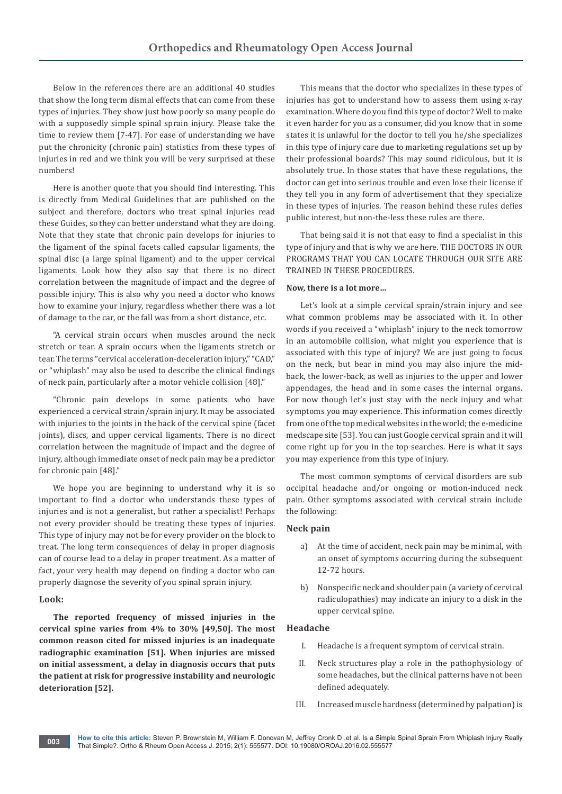Below in the references there are an additional 40 studies that show the long term dismal effects that can come from these types of injuries. They show just how poorly so many people do with a supposedly simple spinal sprain injury. Please take the time to review them [7-47]. For ease of understanding we have put the chronicity (chronic pain) statistics from these types of injuries in red and we think you will be very surprised at these numbers!

Here is another quote that you should find interesting. This is directly from Medical Guidelines that are published on the subject and therefore, doctors who treat spinal injuries read these Guides, so they can better understand what they are doing. Note that they state that chronic pain develops for injuries to the ligament of the spinal facets called capsular ligaments, the spinal disc (a large spinal ligament) and to the upper cervical ligaments. Look how they also say that there is no direct correlation between the magnitude of impact and the degree of possible injury. This is also why you need a doctor who knows how to examine your injury, regardless whether there was a lot of damage to the car, or the fall was from a short distance, etc.

"A cervical strain occurs when muscles around the neck stretch or tear. A sprain occurs when the ligaments stretch or tear. The terms "cervical acceleration-deceleration injury," "CAD," or "whiplash" may also be used to describe the clinical findings of neck pain, particularly after a motor vehicle collision [48]."

"Chronic pain develops in some patients who have experienced a cervical strain/sprain injury. It may be associated with injuries to the joints in the back of the cervical spine (facet joints), discs, and upper cervical ligaments. There is no direct correlation between the magnitude of impact and the degree of injury, although immediate onset of neck pain may be a predictor for chronic pain [48]."

We hope you are beginning to understand why it is so important to find a doctor who understands these types of injuries and is not a generalist, but rather a specialist! Perhaps not every provider should be treating these types of injuries. This type of injury may not be for every provider on the block to treat. The long term consequences of delay in proper diagnosis can of course lead to a delay in proper treatment. As a matter of fact, your very health may depend on finding a doctor who can properly diagnose the severity of you spinal sprain injury.

#### **Look:**

**The reported frequency of missed injuries in the cervical spine varies from 4% to 30% [49,50]. The most common reason cited for missed injuries is an inadequate radiographic examination [51]. When injuries are missed on initial assessment, a delay in diagnosis occurs that puts the patient at risk for progressive instability and neurologic deterioration [52].** 

This means that the doctor who specializes in these types of injuries has got to understand how to assess them using x-ray examination. Where do you find this type of doctor? Well to make it even harder for you as a consumer, did you know that in some states it is unlawful for the doctor to tell you he/she specializes in this type of injury care due to marketing regulations set up by their professional boards? This may sound ridiculous, but it is absolutely true. In those states that have these regulations, the doctor can get into serious trouble and even lose their license if they tell you in any form of advertisement that they specialize in these types of injuries. The reason behind these rules defies public interest, but non-the-less these rules are there.

That being said it is not that easy to find a specialist in this type of injury and that is why we are here. THE DOCTORS IN OUR PROGRAMS THAT YOU CAN LOCATE THROUGH OUR SITE ARE TRAINED IN THESE PROCEDURES.

#### **Now, there is a lot more…**

Let's look at a simple cervical sprain/strain injury and see what common problems may be associated with it. In other words if you received a "whiplash" injury to the neck tomorrow in an automobile collision, what might you experience that is associated with this type of injury? We are just going to focus on the neck, but bear in mind you may also injure the midback, the lower-back, as well as injuries to the upper and lower appendages, the head and in some cases the internal organs. For now though let's just stay with the neck injury and what symptoms you may experience. This information comes directly from one of the top medical websites in the world; the e-medicine medscape site [53]. You can just Google cervical sprain and it will come right up for you in the top searches. Here is what it says you may experience from this type of injury.

The most common symptoms of cervical disorders are sub occipital headache and/or ongoing or motion-induced neck pain. Other symptoms associated with cervical strain include the following:

#### **Neck pain**

- a) At the time of accident, neck pain may be minimal, with an onset of symptoms occurring during the subsequent 12-72 hours.
- b) Nonspecific neck and shoulder pain (a variety of cervical radiculopathies) ma[y](file:///D:/Journals/OROAJ/OROAJ.MS.ID.555577/OROAJ-OP-16-582_W/javascript:showrefcontent() indicate an injury to a disk in the upper cervical spine.

# **Headache**

- I. Headache is a frequent symptom of cervical strain.
- II. Neck structures play a role in the pathophysiology of some headaches, but the clinical patterns have not been defined adequately.
- III. Increased muscle hardness (determined by palpation) is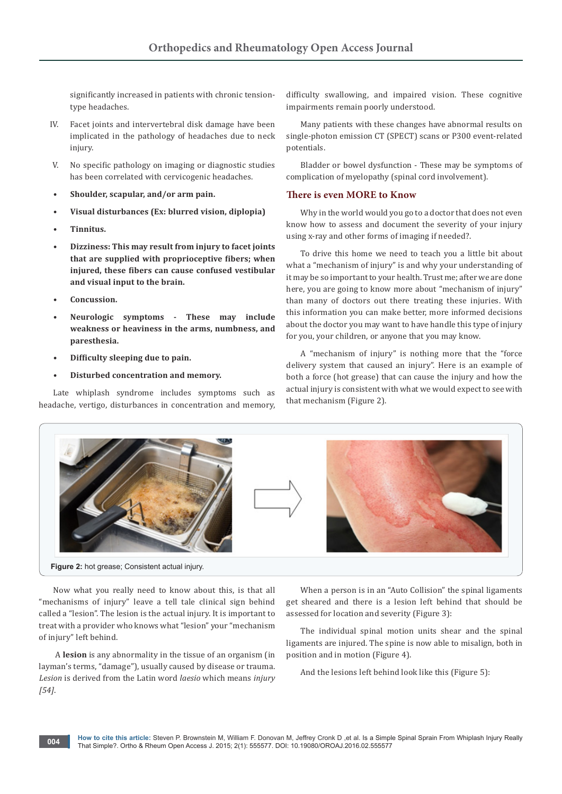significantly increased in patients with chronic tensiontype headaches.

- IV. Facet joints and intervertebral disk damage have been implicated in the pathology of headaches due to neck injury.
- V. No specific pathology on imaging or diagnostic studies has been correlated with cervicogenic headaches.
- **• Shoulder, scapular, and/or arm pain.**
- **• Visual disturbances (Ex: blurred vision, diplopia)**
- **• Tinnitus.**
- **• Dizziness: This may result from injury to facet joints that are supplied with proprioceptive fibers; when injured, these fibers can cause confused vestibular and visual input to the brain.**
- **• Concussion.**
- **• Neurologic symptoms These may include weakness or heaviness in the arms, numbness, and paresthesia.**
- **• Difficulty sleeping due to pain.**
- **• Disturbed concentration and memory.**

Late whiplash syndrome includes symptoms such as headache, vertigo, disturbances in concentration and memory, difficulty swallowing, and impaired vision. These cognitive impairments remain poorly understood.

Many patients with these changes have abnormal results on single-photon emission CT (SPECT) scans or P300 event-related potentials.

Bladder or bowel dysfunction - These may be symptoms of complication of myelopathy (spinal cord involvement).

# **There is even MORE to Know**

Why in the world would you go to a doctor that does not even know how to assess and document the severity of your injury using x-ray and other forms of imaging if needed?.

To drive this home we need to teach you a little bit about what a "mechanism of injury" is and why your understanding of it may be so important to your health. Trust me; after we are done here, you are going to know more about "mechanism of injury" than many of doctors out there treating these injuries. With this information you can make better, more informed decisions about the doctor you may want to have handle this type of injury for you, your children, or anyone that you may know.

A "mechanism of injury" is nothing more that the "force delivery system that caused an injury". Here is an example of both a force (hot grease) that can cause the injury and how the actual injury is consistent with what we would expect to see with that mechanism (Figure 2).



Now what you really need to know about this, is that all "mechanisms of injury" leave a tell tale clinical sign behind called a "lesion". The lesion is the actual injury. It is important to treat with a provider who knows what "lesion" your "mechanism of injury" left behind.

 A **lesion** is any abnormality in the tissue of an organism (in layman's terms, "damage"), usually caused by disease or trauma. *Lesion* is derived from the Latin word *laesio* which means *injury [54]*.

When a person is in an "Auto Collision" the spinal ligaments get sheared and there is a lesion left behind that should be assessed for location and severity (Figure 3):

The individual spinal motion units shear and the spinal ligaments are injured. The spine is now able to misalign, both in position and in motion (Figure 4).

And the lesions left behind look like this (Figure 5):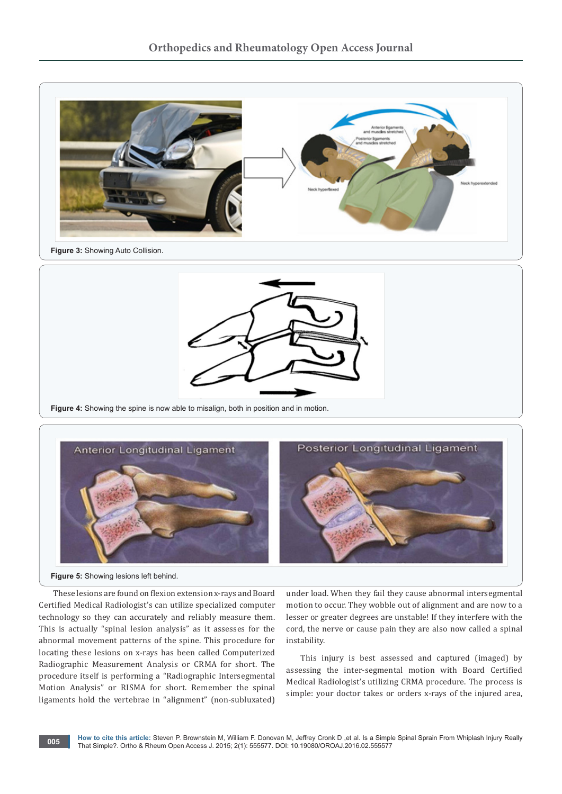



**Figure 4:** Showing the spine is now able to misalign, both in position and in motion.



**Figure 5:** Showing lesions left behind.

These lesions are found on flexion extension x-rays and Board Certified Medical Radiologist's can utilize specialized computer technology so they can accurately and reliably measure them. This is actually "spinal lesion analysis" as it assesses for the abnormal movement patterns of the spine. This procedure for locating these lesions on x-rays has been called Computerized Radiographic Measurement Analysis or CRMA for short. The procedure itself is performing a "Radiographic Intersegmental Motion Analysis" or RISMA for short. Remember the spinal ligaments hold the vertebrae in "alignment" (non-subluxated)

under load. When they fail they cause abnormal intersegmental motion to occur. They wobble out of alignment and are now to a lesser or greater degrees are unstable! If they interfere with the cord, the nerve or cause pain they are also now called a spinal instability.

This injury is best assessed and captured (imaged) by assessing the inter-segmental motion with Board Certified Medical Radiologist's utilizing CRMA procedure. The process is simple: your doctor takes or orders x-rays of the injured area,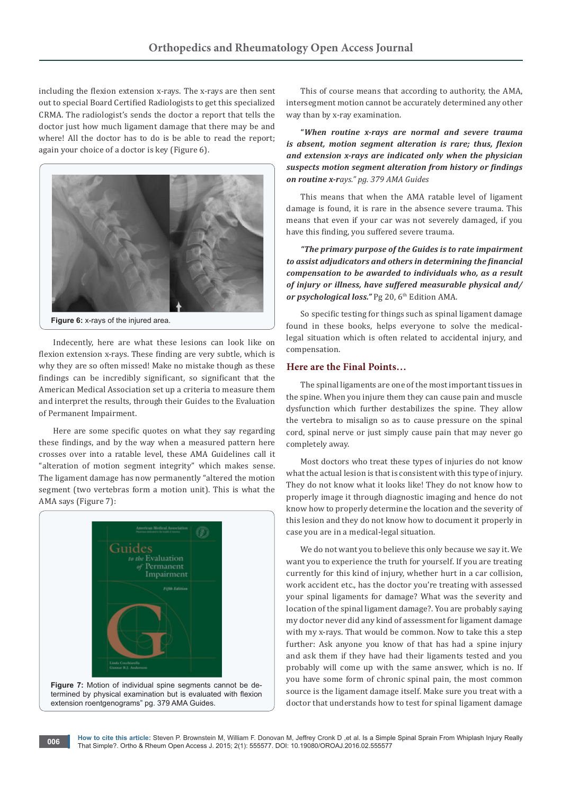including the flexion extension x-rays. The x-rays are then sent out to special Board Certified Radiologists to get this specialized CRMA. The radiologist's sends the doctor a report that tells the doctor just how much ligament damage that there may be and where! All the doctor has to do is be able to read the report; again your choice of a doctor is key (Figure 6).



**Figure 6:** x-rays of the injured area.

Indecently, here are what these lesions can look like on flexion extension x-rays. These finding are very subtle, which is why they are so often missed! Make no mistake though as these findings can be incredibly significant, so significant that the American Medical Association set up a criteria to measure them and interpret the results, through their Guides to the Evaluation of Permanent Impairment.

Here are some specific quotes on what they say regarding these findings, and by the way when a measured pattern here crosses over into a ratable level, these AMA Guidelines call it "alteration of motion segment integrity" which makes sense. The ligament damage has now permanently "altered the motion segment (two vertebras form a motion unit). This is what the AMA says (Figure 7):



extension roentgenograms" pg. 379 AMA Guides.

This of course means that according to authority, the AMA, intersegment motion cannot be accurately determined any other way than by x-ray examination.

**"***When routine x-rays are normal and severe trauma is absent, motion segment alteration is rare; thus, flexion and extension x-rays are indicated only when the physician suspects motion segment alteration from history or findings on routine x-rays." pg. 379 AMA Guides*

This means that when the AMA ratable level of ligament damage is found, it is rare in the absence severe trauma. This means that even if your car was not severely damaged, if you have this finding, you suffered severe trauma.

*"The primary purpose of the Guides is to rate impairment to assist adjudicators and others in determining the financial compensation to be awarded to individuals who, as a result of injury or illness, have suffered measurable physical and/* or psychological loss." Pg 20, 6<sup>th</sup> Edition AMA.

So specific testing for things such as spinal ligament damage found in these books, helps everyone to solve the medicallegal situation which is often related to accidental injury, and compensation.

# **Here are the Final Points…**

The spinal ligaments are one of the most important tissues in the spine. When you injure them they can cause pain and muscle dysfunction which further destabilizes the spine. They allow the vertebra to misalign so as to cause pressure on the spinal cord, spinal nerve or just simply cause pain that may never go completely away.

Most doctors who treat these types of injuries do not know what the actual lesion is that is consistent with this type of injury. They do not know what it looks like! They do not know how to properly image it through diagnostic imaging and hence do not know how to properly determine the location and the severity of this lesion and they do not know how to document it properly in case you are in a medical-legal situation.

We do not want you to believe this only because we say it. We want you to experience the truth for yourself. If you are treating currently for this kind of injury, whether hurt in a car collision, work accident etc., has the doctor you're treating with assessed your spinal ligaments for damage? What was the severity and location of the spinal ligament damage?. You are probably saying my doctor never did any kind of assessment for ligament damage with my x-rays. That would be common. Now to take this a step further: Ask anyone you know of that has had a spine injury and ask them if they have had their ligaments tested and you probably will come up with the same answer, which is no. If you have some form of chronic spinal pain, the most common source is the ligament damage itself. Make sure you treat with a doctor that understands how to test for spinal ligament damage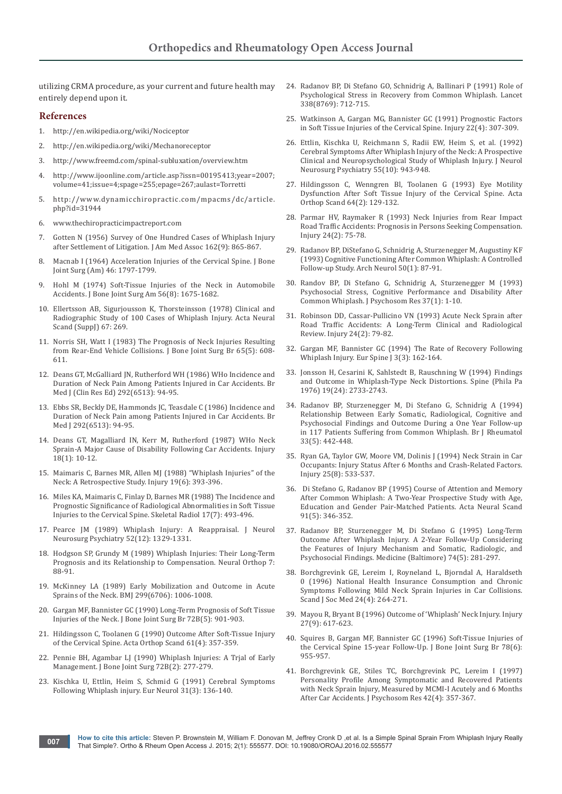utilizing CRMA procedure, as your current and future health may entirely depend upon it.

# **References**

- 1. <http://en.wikipedia.org/wiki/Nociceptor>
- 2. <http://en.wikipedia.org/wiki/Mechanoreceptor>
- 3. <http://www.freemd.com/spinal-subluxation/overview.htm>
- 4. [http://www.ijoonline.com/article.asp?issn=00195413;year=2007;](http://www.ijoonline.com/article.asp?issn=00195413;year=2007;volume=41;issue=4;spage=255;epage=267;aulast=Torretti)  [volume=41;issue=4;spage=255;epage=267;aulast=Torretti](http://www.ijoonline.com/article.asp?issn=00195413;year=2007;volume=41;issue=4;spage=255;epage=267;aulast=Torretti)
- 5. [http://www.dynamicchiropractic.com/mpacms/dc/article.](http://www.dynamicchiropractic.com/mpacms/dc/article.php?id=31944) [php?id=31944](http://www.dynamicchiropractic.com/mpacms/dc/article.php?id=31944)
- 6. [www.thechiropracticimpactreport.com](http://www.thechiropracticimpactreport.com)
- Gotten N (1956) Survey of One Hundred Cases of Whiplash Injury [after Settlement of Litigation. J Am Med Assoc 162\(9\): 865-867.](http://www.ncbi.nlm.nih.gov/pubmed/13366672)
- 8. [Macnab I \(1964\) Acceleration Injuries of the Cervical Spine. J Bone](http://www.ncbi.nlm.nih.gov/pubmed/14239872)  [Joint Surg \(Am\) 46: 1797-1799.](http://www.ncbi.nlm.nih.gov/pubmed/14239872)
- 9. [Hohl M \(1974\) Soft-Tissue Injuries of the Neck in Automobile](http://www.ncbi.nlm.nih.gov/pubmed/4434036)  [Accidents. J Bone Joint Surg Am 56\(8\): 1675-1682.](http://www.ncbi.nlm.nih.gov/pubmed/4434036)
- 10. Ellertsson AB, Sigurjousson K, Thorsteinsson (1978) Clinical and Radiographic Study of 100 Cases of Whiplash Injury. Acta Neural Scand (SuppJ) 67: 269.
- 11. [Norris SH, Watt I \(1983\) The Prognosis of Neck Injuries Resulting](http://www.ncbi.nlm.nih.gov/pubmed/6643566)  [from Rear-End Vehicle Collisions. J Bone Joint Surg Br 65\(5\): 608-](http://www.ncbi.nlm.nih.gov/pubmed/6643566) [611.](http://www.ncbi.nlm.nih.gov/pubmed/6643566)
- 12. [Deans GT, McGalliard JN, Rutherford WH \(1986\) WHo Incidence and](http://www.ncbi.nlm.nih.gov/pubmed/3080105)  [Duration of Neck Pain Among Patients Injured in Car Accidents. Br](http://www.ncbi.nlm.nih.gov/pubmed/3080105)  [Med J \(Clin Res Ed\) 292\(6513\): 94-95.](http://www.ncbi.nlm.nih.gov/pubmed/3080105)
- 13. [Ebbs SR, Beckly DE, Hammonds JC, Teasdale C \(1986\) Incidence and](http://www.ncbi.nlm.nih.gov/pubmed/3080105)  [Duration of Neck Pain among Patients Injured in Car Accidents. Br](http://www.ncbi.nlm.nih.gov/pubmed/3080105)  [Med J 292\(6513\): 94-95.](http://www.ncbi.nlm.nih.gov/pubmed/3080105)
- 14. [Deans GT, Magalliard IN, Kerr M, Rutherford \(1987\) WHo Neck](http://www.ncbi.nlm.nih.gov/pubmed/3440606)  [Sprain-A Major Cause of Disability Following Car Accidents. Injury](http://www.ncbi.nlm.nih.gov/pubmed/3440606)  [18\(1\): 10-12.](http://www.ncbi.nlm.nih.gov/pubmed/3440606)
- 15. [Maimaris C, Barnes MR, Allen MJ \(1988\) "Whiplash Injuries" of the](http://www.ncbi.nlm.nih.gov/pubmed/3267643)  [Neck: A Retrospective Study. Injury 19\(6\): 393-396.](http://www.ncbi.nlm.nih.gov/pubmed/3267643)
- 16. [Miles KA, Maimaris C, Finlay D, Barnes MR \(1988\) The Incidence and](http://www.ncbi.nlm.nih.gov/pubmed/3201276)  [Prognostic Significance of Radiological Abnormalities in Soft Tissue](http://www.ncbi.nlm.nih.gov/pubmed/3201276)  [Injuries to the Cervical Spine. Skeletal Radiol 17\(7\): 493-496.](http://www.ncbi.nlm.nih.gov/pubmed/3201276)
- 17. [Pearce JM \(1989\) Whiplash Injury: A Reappraisal. J Neurol](http://www.ncbi.nlm.nih.gov/pubmed/2693615)  [Neurosurg Psychiatry 52\(12\): 1329-1331.](http://www.ncbi.nlm.nih.gov/pubmed/2693615)
- 18. [Hodgson SP, Grundy M \(1989\) Whiplash Injuries: Their Long-Term](http://www.danmurphydc.com/wordpress/wp-content/uploads/archive/2007/Article_15-07.hodgson.pdf)  [Prognosis and its Relationship to Compensation. Neural Orthop 7:](http://www.danmurphydc.com/wordpress/wp-content/uploads/archive/2007/Article_15-07.hodgson.pdf)  [88-91.](http://www.danmurphydc.com/wordpress/wp-content/uploads/archive/2007/Article_15-07.hodgson.pdf)
- 19. [McKinney LA \(1989\) Early Mobilization and Outcome in Acute](http://www.ncbi.nlm.nih.gov/pubmed/2511939)  [Sprains of the Neck. BMJ 299\(6706\): 1006-1008.](http://www.ncbi.nlm.nih.gov/pubmed/2511939)
- 20. [Gargan MF, Bannister GC \(1990\) Long-Term Prognosis of Soft Tissue](http://www.ncbi.nlm.nih.gov/pubmed/2211780)  [Injuries of the Neck. J Bone Joint Surg Br 72B\(5\): 901-903.](http://www.ncbi.nlm.nih.gov/pubmed/2211780)
- 21. [Hildingsson C, Toolanen G \(1990\) Outcome After Soft-Tissue Injury](http://www.ncbi.nlm.nih.gov/pubmed/2402991)  [of the Cervical Spine. Acta Orthop Scand 61\(4\): 357-359.](http://www.ncbi.nlm.nih.gov/pubmed/2402991)
- 22. [Pennie BH, Agambar LJ \(1990\) Whiplash Injuries: A Trjal of Early](http://www.ncbi.nlm.nih.gov/pubmed/2312568)  [Management. J Bone Joint Surg 72B\(2\): 277-279.](http://www.ncbi.nlm.nih.gov/pubmed/2312568)
- 23. [Kischka U, Ettlin, Heim S, Schmid G \(1991\) Cerebral Symptoms](http://www.ncbi.nlm.nih.gov/pubmed/2044626)  [Following Whiplash injury. Eur Neurol 31\(3\): 136-140.](http://www.ncbi.nlm.nih.gov/pubmed/2044626)
- 24. [Radanov BP, Di Stefano GO, Schnidrig A, Ballinari P \(1991\) Role of](http://www.ncbi.nlm.nih.gov/pubmed/1679865)  [Psychological Stress in Recovery from Common Whiplash. Lancet](http://www.ncbi.nlm.nih.gov/pubmed/1679865)  [338\(8769\): 712-715.](http://www.ncbi.nlm.nih.gov/pubmed/1679865)
- 25. [Watkinson A, Gargan MG, Bannister GC \(1991\) Prognostic Factors](http://www.injuryjournal.com/article/0020-1383(91)90012-4/abstract)  [in Soft Tissue Injuries of the Cervical Spine. Injury 22\(4\): 307-309.](http://www.injuryjournal.com/article/0020-1383(91)90012-4/abstract)
- 26. [Ettlin, Kischka U, Reichmann S, Radii EW, Heim S, et al. \(1992\)](http://www.ncbi.nlm.nih.gov/pubmed/1431958)  [Cerebral Symptoms After Whiplash Injury of the Neck: A Prospective](http://www.ncbi.nlm.nih.gov/pubmed/1431958)  [Clinical and Neuropsychological Study of Whiplash Injury. J Neurol](http://www.ncbi.nlm.nih.gov/pubmed/1431958)  [Neurosurg Psychiatry 55\(10\): 943-948.](http://www.ncbi.nlm.nih.gov/pubmed/1431958)
- 27. [Hildingsson C, Wenngren Bl, Toolanen G \(1993\) Eye Motility](http://www.ncbi.nlm.nih.gov/pubmed/8498168)  [Dysfunction After Soft Tissue Injury of the Cervical Spine. Acta](http://www.ncbi.nlm.nih.gov/pubmed/8498168)  [Orthop Scand 64\(2\): 129-132.](http://www.ncbi.nlm.nih.gov/pubmed/8498168)
- 28. [Parmar HV, Raymaker R \(1993\) Neck Injuries from Rear Impact](http://www.ncbi.nlm.nih.gov/pubmed/8505130)  [Road Traffic Accidents: Prognosis in Persons Seeking Compensation.](http://www.ncbi.nlm.nih.gov/pubmed/8505130)  [Injury 24\(2\): 75-78.](http://www.ncbi.nlm.nih.gov/pubmed/8505130)
- 29. [Radanov BP, DiStefano G, Schnidrig A, Sturzenegger M, Augustiny KF](http://www.ncbi.nlm.nih.gov/pubmed/8418806)  [\(1993\) Cognitive Functioning After Common Whiplash: A Controlled](http://www.ncbi.nlm.nih.gov/pubmed/8418806)  [Follow-up Study. Arch Neurol 50\(1\): 87-91.](http://www.ncbi.nlm.nih.gov/pubmed/8418806)
- 30. [Randov BP, Di Stefano G, Schnidrig A, Sturzenegger M \(1993\)](http://www.ncbi.nlm.nih.gov/pubmed/8421255)  [Psychosocial Stress, Cognitive Performance and Disability After](http://www.ncbi.nlm.nih.gov/pubmed/8421255)  [Common Whiplash. J Psychosom Res 37\(1\): 1-10.](http://www.ncbi.nlm.nih.gov/pubmed/8421255)
- 31. [Robinson DD, Cassar-Pullicino VN \(1993\) Acute Neck Sprain after](http://www.ncbi.nlm.nih.gov/pubmed/8505131)  [Road Traffic Accidents: A Long-Term Clinical and Radiological](http://www.ncbi.nlm.nih.gov/pubmed/8505131)  [Review. Injury 24\(2\): 79-82.](http://www.ncbi.nlm.nih.gov/pubmed/8505131)
- 32. [Gargan MF, Bannister GC \(1994\) The Rate of Recovery Following](http://www.ncbi.nlm.nih.gov/pubmed/7866828)  [Whiplash Injury. Eur Spine J 3\(3\): 162-164.](http://www.ncbi.nlm.nih.gov/pubmed/7866828)
- 33. [Jonsson H, Cesarini K, Sahlstedt B, Rauschning W \(1994\) Findings](http://www.ncbi.nlm.nih.gov/pubmed/7899972)  [and Outcome in Whiplash-Type Neck Distortions. Spine \(Phila Pa](http://www.ncbi.nlm.nih.gov/pubmed/7899972)  [1976\) 19\(24\): 2733-2743.](http://www.ncbi.nlm.nih.gov/pubmed/7899972)
- 34. [Radanov BP, Sturzenegger M, Di Stefano G, Schnidrig A \(1994\)](http://www.ncbi.nlm.nih.gov/pubmed/8173848)  [Relationship Between Early Somatic, Radiological, Cognitive and](http://www.ncbi.nlm.nih.gov/pubmed/8173848)  [Psychosocial Findings and Outcome During a One Year Follow-up](http://www.ncbi.nlm.nih.gov/pubmed/8173848)  [in 117 Patients Suffering from Common Whiplash. Br J Rheumatol](http://www.ncbi.nlm.nih.gov/pubmed/8173848)  [33\(5\): 442-448.](http://www.ncbi.nlm.nih.gov/pubmed/8173848)
- 35. [Ryan GA, Taylor GW, Moore VM, Dolinis J \(1994\) Neck Strain in Car](http://www.ncbi.nlm.nih.gov/pubmed/7960072)  [Occupants: Injury Status After 6 Months and Crash-Related Factors.](http://www.ncbi.nlm.nih.gov/pubmed/7960072)  [Injury 25\(8\): 533-537.](http://www.ncbi.nlm.nih.gov/pubmed/7960072)
- 36. [Di Stefano G, Radanov BP \(1995\) Course of Attention and Memory](http://www.ncbi.nlm.nih.gov/pubmed/7639063)  [After Common Whiplash: A Two-Year Prospective Study with Age,](http://www.ncbi.nlm.nih.gov/pubmed/7639063)  [Education and Gender Pair-Matched Patients. Acta Neural Scand](http://www.ncbi.nlm.nih.gov/pubmed/7639063)  [91\(5\): 346-352.](http://www.ncbi.nlm.nih.gov/pubmed/7639063)
- 37. [Radanov BP, Sturzenegger M, Di Stefano G \(1995\) Long-Term](http://www.ncbi.nlm.nih.gov/pubmed/7565068)  [Outcome After Whiplash Injury. A 2-Year Follow-Up Considering](http://www.ncbi.nlm.nih.gov/pubmed/7565068)  [the Features of Injury Mechanism and Somatic, Radiologic, and](http://www.ncbi.nlm.nih.gov/pubmed/7565068)  [Psychosocial Findings. Medicine \(Baltimore\) 74\(5\): 281-297.](http://www.ncbi.nlm.nih.gov/pubmed/7565068)
- 38. [Borchgrevink GE, Lereim I, Royneland L, Bjorndal A, Haraldseth](http://www.ncbi.nlm.nih.gov/pubmed/8983098)  [0 \(1996\) National Health Insurance Consumption and Chronic](http://www.ncbi.nlm.nih.gov/pubmed/8983098)  [Symptoms Following Mild Neck Sprain Injuries in Car Collisions.](http://www.ncbi.nlm.nih.gov/pubmed/8983098)  [Scand J Soc Med 24\(4\): 264-271.](http://www.ncbi.nlm.nih.gov/pubmed/8983098)
- 39. [Mayou R, Bryant B \(1996\) Outcome of 'Whiplash' Neck Injury. Injury](http://www.ncbi.nlm.nih.gov/pubmed/9039357)  [27\(9\): 617-623.](http://www.ncbi.nlm.nih.gov/pubmed/9039357)
- 40. [Squires B, Gargan MF, Bannister GC \(1996\) Soft-Tissue Injuries of](http://www.ncbi.nlm.nih.gov/pubmed/8951014)  [the Cervical Spine 15-year Follow-Up. J Bone Joint Surg Br 78\(6\):](http://www.ncbi.nlm.nih.gov/pubmed/8951014)  [955-957.](http://www.ncbi.nlm.nih.gov/pubmed/8951014)
- 41. [Borchgrevink GE, Stiles TC, Borchgrevink PC, Lereim I \(1997\)](http://www.ncbi.nlm.nih.gov/pubmed/9160275)  [Personality Profile Among Symptomatic and Recovered Patients](http://www.ncbi.nlm.nih.gov/pubmed/9160275)  [with Neck Sprain Injury, Measured by MCMI-I Acutely and 6 Months](http://www.ncbi.nlm.nih.gov/pubmed/9160275)  [After Car Accidents. J Psychosom Res 42\(4\): 357-367.](http://www.ncbi.nlm.nih.gov/pubmed/9160275)